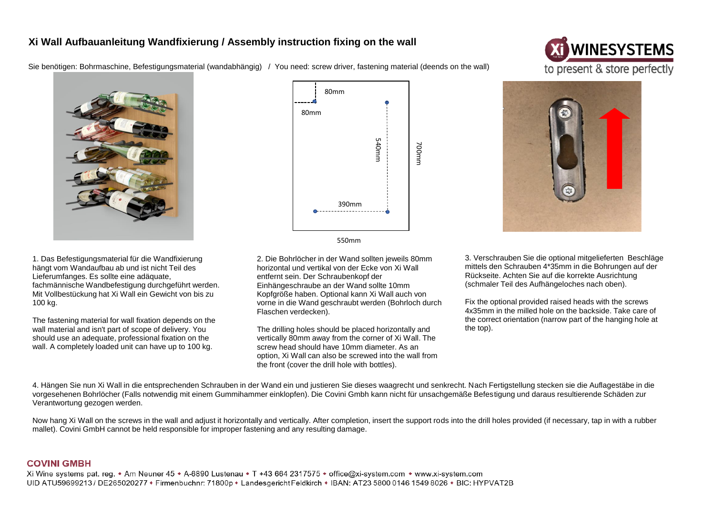## **Xi Wall Aufbauanleitung Wandfixierung / Assembly instruction fixing on the wall**

Sie benötigen: Bohrmaschine, Befestigungsmaterial (wandabhängig) / You need: screw driver, fastening material (deends on the wall)





1. Das Befestigungsmaterial für die Wandfixierung hängt vom Wandaufbau ab und ist nicht Teil des Lieferumfanges. Es sollte eine adäquate, fachmännische Wandbefestigung durchgeführt werden. Mit Vollbestückung hat Xi Wall ein Gewicht von bis zu 100 kg.

The fastening material for wall fixation depends on the wall material and isn't part of scope of delivery. You should use an adequate, professional fixation on the wall. A completely loaded unit can have up to 100 kg.





2. Die Bohrlöcher in der Wand sollten jeweils 80mm horizontal und vertikal von der Ecke von Xi Wall entfernt sein. Der Schraubenkopf der Einhängeschraube an der Wand sollte 10mm Kopfgröße haben. Optional kann Xi Wall auch von vorne in die Wand geschraubt werden (Bohrloch durch Flaschen verdecken).

The drilling holes should be placed horizontally and vertically 80mm away from the corner of Xi Wall. The screw head should have 10mm diameter. As an option, Xi Wall can also be screwed into the wall from the front (cover the drill hole with bottles).



3. Verschrauben Sie die optional mitgelieferten Beschläge mittels den Schrauben 4\*35mm in die Bohrungen auf der Rückseite. Achten Sie auf die korrekte Ausrichtung (schmaler Teil des Aufhängeloches nach oben).

Fix the optional provided raised heads with the screws 4x35mm in the milled hole on the backside. Take care of the correct orientation (narrow part of the hanging hole at the top).

4. Hängen Sie nun Xi Wall in die entsprechenden Schrauben in der Wand ein und justieren Sie dieses waagrecht und senkrecht. Nach Fertigstellung stecken sie die Auflagestäbe in die vorgesehenen Bohrlöcher (Falls notwendig mit einem Gummihammer einklopfen). Die Covini Gmbh kann nicht für unsachgemäße Befestigung und daraus resultierende Schäden zur Verantwortung gezogen werden.

Now hang Xi Wall on the screws in the wall and adjust it horizontally and vertically. After completion, insert the support rods into the drill holes provided (if necessary, tap in with a rubber mallet). Covini GmbH cannot be held responsible for improper fastening and any resulting damage.

## **COVINI GMBH**

Xi Wine systems pat. reg. \* Am Neuner 45 \* A-6890 Lustenau \* T +43 664 2317575 \* office@xi-system.com \* www.xi-system.com UID ATU59699213 / DE265020277 \* Firmenbuchnr: 71800p \* Landesgericht Feldkirch \* IBAN: AT23 5800 0146 1549 8026 \* BIC: HYPVAT2B